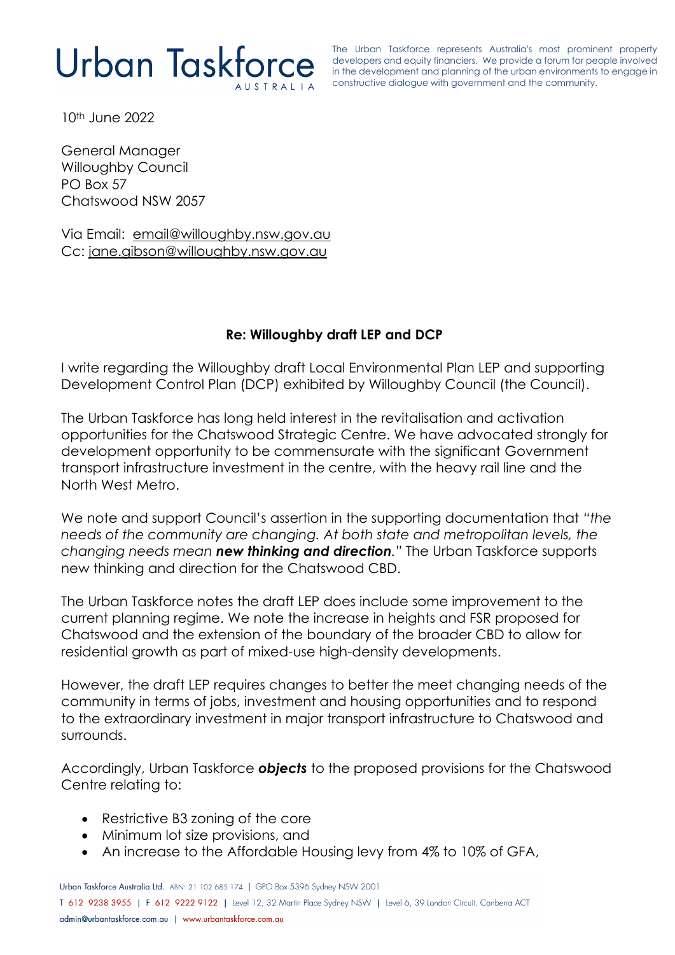# Urban Taskforce

The Urban Taskforce represents Australia's most prominent property developers and equity financiers. We provide a forum for people involved in the development and planning of the urban environments to engage in constructive dialogue with government and the community.

10th June 2022

General Manager Willoughby Council PO Box 57 Chatswood NSW 2057

Via Email: [email@willoughby.nsw.gov.au](mailto:email@willoughby.nsw.gov.au) Cc: [jane.gibson@willoughby.nsw.gov.au](mailto:jane.gibson@willoughby.nsw.gov.au)

## **Re: Willoughby draft LEP and DCP**

I write regarding the Willoughby draft Local Environmental Plan LEP and supporting Development Control Plan (DCP) exhibited by Willoughby Council (the Council).

The Urban Taskforce has long held interest in the revitalisation and activation opportunities for the Chatswood Strategic Centre. We have advocated strongly for development opportunity to be commensurate with the significant Government transport infrastructure investment in the centre, with the heavy rail line and the North West Metro.

We note and support Council's assertion in the supporting documentation that *"the needs of the community are changing. At both state and metropolitan levels, the changing needs mean new thinking and direction."* The Urban Taskforce supports new thinking and direction for the Chatswood CBD.

The Urban Taskforce notes the draft LEP does include some improvement to the current planning regime. We note the increase in heights and FSR proposed for Chatswood and the extension of the boundary of the broader CBD to allow for residential growth as part of mixed-use high-density developments.

However, the draft LEP requires changes to better the meet changing needs of the community in terms of jobs, investment and housing opportunities and to respond to the extraordinary investment in major transport infrastructure to Chatswood and surrounds.

Accordingly, Urban Taskforce *objects* to the proposed provisions for the Chatswood Centre relating to:

- Restrictive B3 zoning of the core
- Minimum lot size provisions, and
- An increase to the Affordable Housing levy from 4% to 10% of GFA,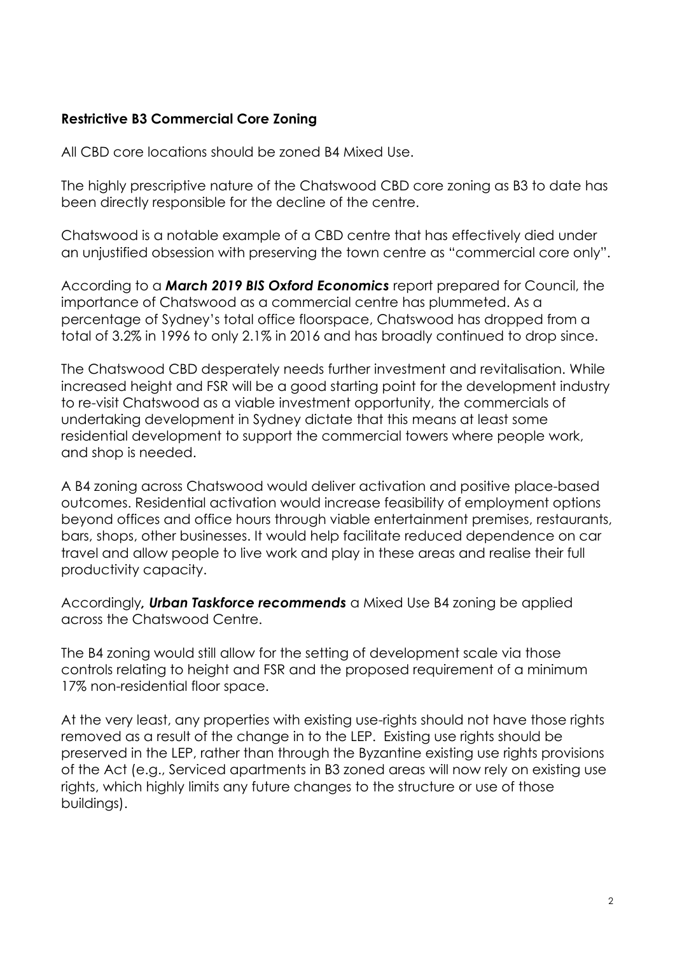## **Restrictive B3 Commercial Core Zoning**

All CBD core locations should be zoned B4 Mixed Use.

The highly prescriptive nature of the Chatswood CBD core zoning as B3 to date has been directly responsible for the decline of the centre.

Chatswood is a notable example of a CBD centre that has effectively died under an unjustified obsession with preserving the town centre as "commercial core only".

According to a *March 2019 BIS Oxford Economics* report prepared for Council, the importance of Chatswood as a commercial centre has plummeted. As a percentage of Sydney's total office floorspace, Chatswood has dropped from a total of 3.2% in 1996 to only 2.1% in 2016 and has broadly continued to drop since.

The Chatswood CBD desperately needs further investment and revitalisation. While increased height and FSR will be a good starting point for the development industry to re-visit Chatswood as a viable investment opportunity, the commercials of undertaking development in Sydney dictate that this means at least some residential development to support the commercial towers where people work, and shop is needed.

A B4 zoning across Chatswood would deliver activation and positive place-based outcomes. Residential activation would increase feasibility of employment options beyond offices and office hours through viable entertainment premises, restaurants, bars, shops, other businesses. It would help facilitate reduced dependence on car travel and allow people to live work and play in these areas and realise their full productivity capacity.

Accordingly*, Urban Taskforce recommends* a Mixed Use B4 zoning be applied across the Chatswood Centre.

The B4 zoning would still allow for the setting of development scale via those controls relating to height and FSR and the proposed requirement of a minimum 17% non-residential floor space.

At the very least, any properties with existing use-rights should not have those rights removed as a result of the change in to the LEP. Existing use rights should be preserved in the LEP, rather than through the Byzantine existing use rights provisions of the Act (e.g., Serviced apartments in B3 zoned areas will now rely on existing use rights, which highly limits any future changes to the structure or use of those buildings).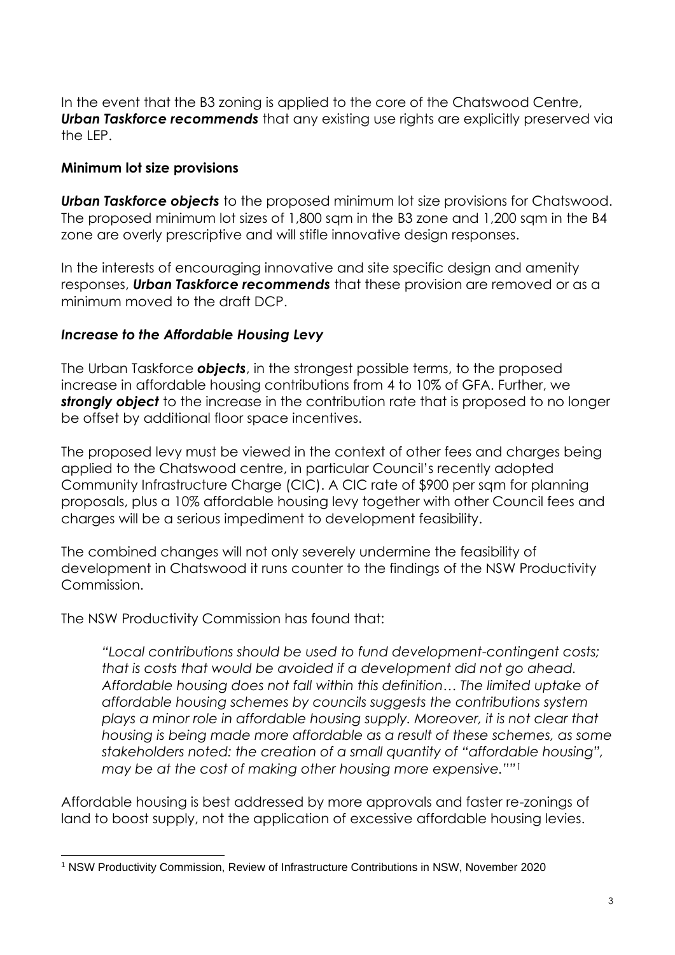In the event that the B3 zoning is applied to the core of the Chatswood Centre, *Urban Taskforce recommends* that any existing use rights are explicitly preserved via the LEP.

### **Minimum lot size provisions**

*Urban Taskforce objects* to the proposed minimum lot size provisions for Chatswood. The proposed minimum lot sizes of 1,800 sqm in the B3 zone and 1,200 sqm in the B4 zone are overly prescriptive and will stifle innovative design responses.

In the interests of encouraging innovative and site specific design and amenity responses, *Urban Taskforce recommends* that these provision are removed or as a minimum moved to the draft DCP.

### *Increase to the Affordable Housing Levy*

The Urban Taskforce *objects*, in the strongest possible terms, to the proposed increase in affordable housing contributions from 4 to 10% of GFA. Further, we *strongly object* to the increase in the contribution rate that is proposed to no longer be offset by additional floor space incentives.

The proposed levy must be viewed in the context of other fees and charges being applied to the Chatswood centre, in particular Council's recently adopted Community Infrastructure Charge (CIC). A CIC rate of \$900 per sqm for planning proposals, plus a 10% affordable housing levy together with other Council fees and charges will be a serious impediment to development feasibility.

The combined changes will not only severely undermine the feasibility of development in Chatswood it runs counter to the findings of the NSW Productivity Commission.

The NSW Productivity Commission has found that:

*"Local contributions should be used to fund development-contingent costs; that is costs that would be avoided if a development did not go ahead. Affordable housing does not fall within this definition… The limited uptake of affordable housing schemes by councils suggests the contributions system plays a minor role in affordable housing supply. Moreover, it is not clear that housing is being made more affordable as a result of these schemes, as some stakeholders noted: the creation of a small quantity of "affordable housing", may be at the cost of making other housing more expensive.""<sup>1</sup>*

Affordable housing is best addressed by more approvals and faster re-zonings of land to boost supply, not the application of excessive affordable housing levies.

<sup>1</sup> NSW Productivity Commission, Review of Infrastructure Contributions in NSW, November 2020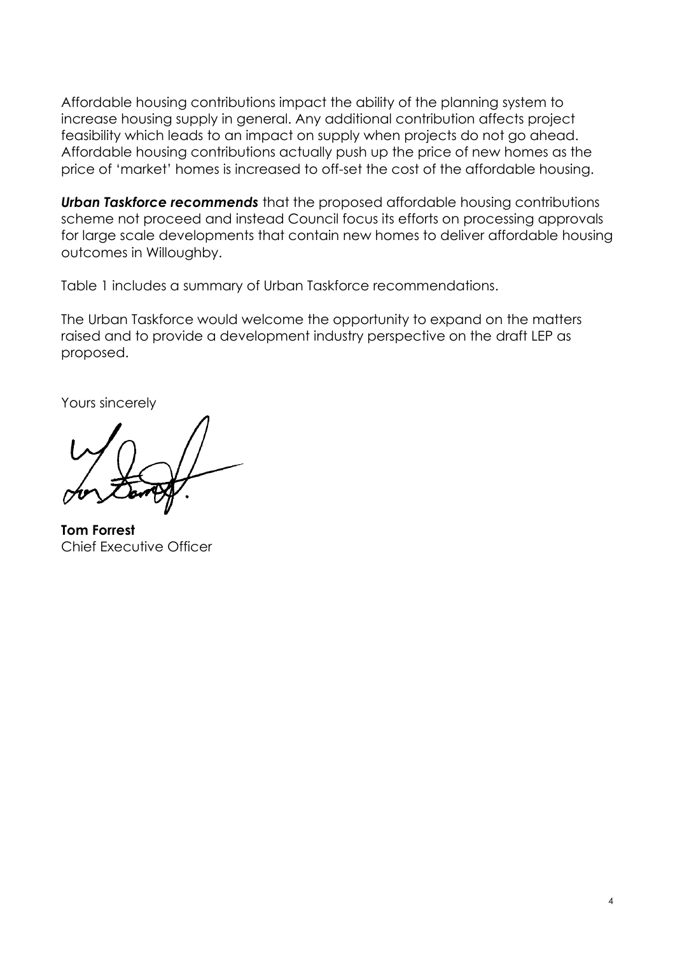Affordable housing contributions impact the ability of the planning system to increase housing supply in general. Any additional contribution affects project feasibility which leads to an impact on supply when projects do not go ahead. Affordable housing contributions actually push up the price of new homes as the price of 'market' homes is increased to off-set the cost of the affordable housing.

*Urban Taskforce recommends* that the proposed affordable housing contributions scheme not proceed and instead Council focus its efforts on processing approvals for large scale developments that contain new homes to deliver affordable housing outcomes in Willoughby.

Table 1 includes a summary of Urban Taskforce recommendations.

The Urban Taskforce would welcome the opportunity to expand on the matters raised and to provide a development industry perspective on the draft LEP as proposed.

Yours sincerely

**Tom Forrest**  Chief Executive Officer